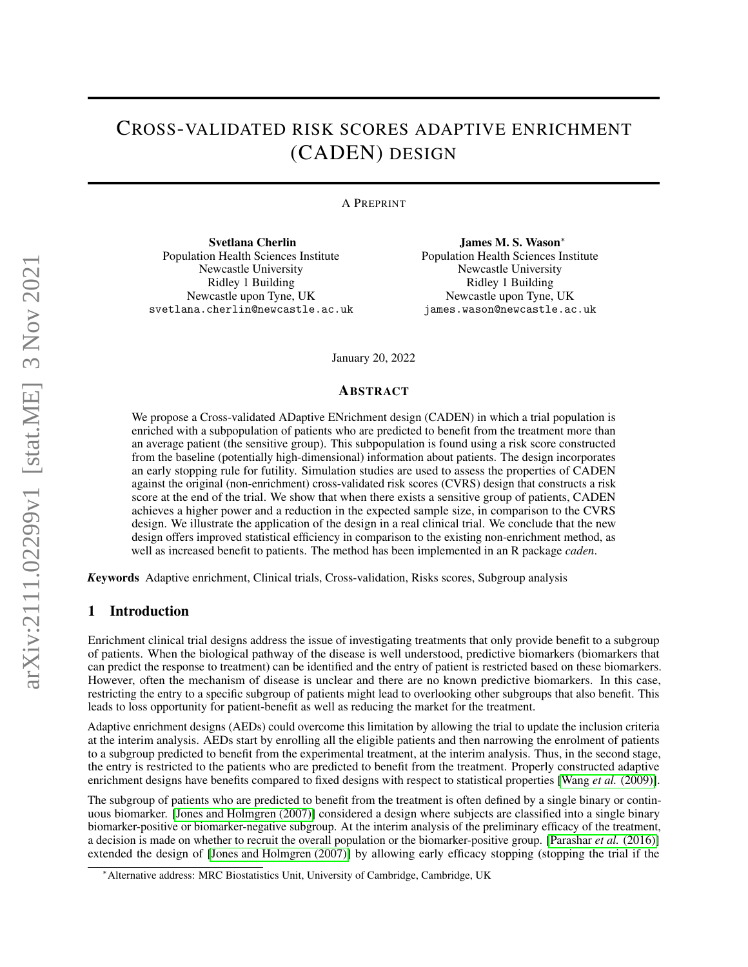# CROSS-VALIDATED RISK SCORES ADAPTIVE ENRICHMENT (CADEN) DESIGN

A PREPRINT

Svetlana Cherlin Population Health Sciences Institute Newcastle University Ridley 1 Building Newcastle upon Tyne, UK svetlana.cherlin@newcastle.ac.uk

James M. S. Wason<sup>∗</sup> Population Health Sciences Institute Newcastle University Ridley 1 Building Newcastle upon Tyne, UK james.wason@newcastle.ac.uk

January 20, 2022

#### ABSTRACT

We propose a Cross-validated ADaptive ENrichment design (CADEN) in which a trial population is enriched with a subpopulation of patients who are predicted to benefit from the treatment more than an average patient (the sensitive group). This subpopulation is found using a risk score constructed from the baseline (potentially high-dimensional) information about patients. The design incorporates an early stopping rule for futility. Simulation studies are used to assess the properties of CADEN against the original (non-enrichment) cross-validated risk scores (CVRS) design that constructs a risk score at the end of the trial. We show that when there exists a sensitive group of patients, CADEN achieves a higher power and a reduction in the expected sample size, in comparison to the CVRS design. We illustrate the application of the design in a real clinical trial. We conclude that the new design offers improved statistical efficiency in comparison to the existing non-enrichment method, as well as increased benefit to patients. The method has been implemented in an R package *caden*.

*K*eywords Adaptive enrichment, Clinical trials, Cross-validation, Risks scores, Subgroup analysis

## 1 Introduction

Enrichment clinical trial designs address the issue of investigating treatments that only provide benefit to a subgroup of patients. When the biological pathway of the disease is well understood, predictive biomarkers (biomarkers that can predict the response to treatment) can be identified and the entry of patient is restricted based on these biomarkers. However, often the mechanism of disease is unclear and there are no known predictive biomarkers. In this case, restricting the entry to a specific subgroup of patients might lead to overlooking other subgroups that also benefit. This leads to loss opportunity for patient-benefit as well as reducing the market for the treatment.

Adaptive enrichment designs (AEDs) could overcome this limitation by allowing the trial to update the inclusion criteria at the interim analysis. AEDs start by enrolling all the eligible patients and then narrowing the enrolment of patients to a subgroup predicted to benefit from the experimental treatment, at the interim analysis. Thus, in the second stage, the entry is restricted to the patients who are predicted to benefit from the treatment. Properly constructed adaptive enrichment designs have benefits compared to fixed designs with respect to statistical properties [Wang *et al.* [\(2009\)\]](#page-11-0).

The subgroup of patients who are predicted to benefit from the treatment is often defined by a single binary or continuous biomarker. [\[Jones and Holmgren \(2007\)\]](#page-9-0) considered a design where subjects are classified into a single binary biomarker-positive or biomarker-negative subgroup. At the interim analysis of the preliminary efficacy of the treatment, a decision is made on whether to recruit the overall population or the biomarker-positive group. [\[Parashar](#page-9-1) *et al.* (2016)] extended the design of [\[Jones and Holmgren \(2007\)\]](#page-9-0) by allowing early efficacy stopping (stopping the trial if the

<sup>∗</sup>Alternative address: MRC Biostatistics Unit, University of Cambridge, Cambridge, UK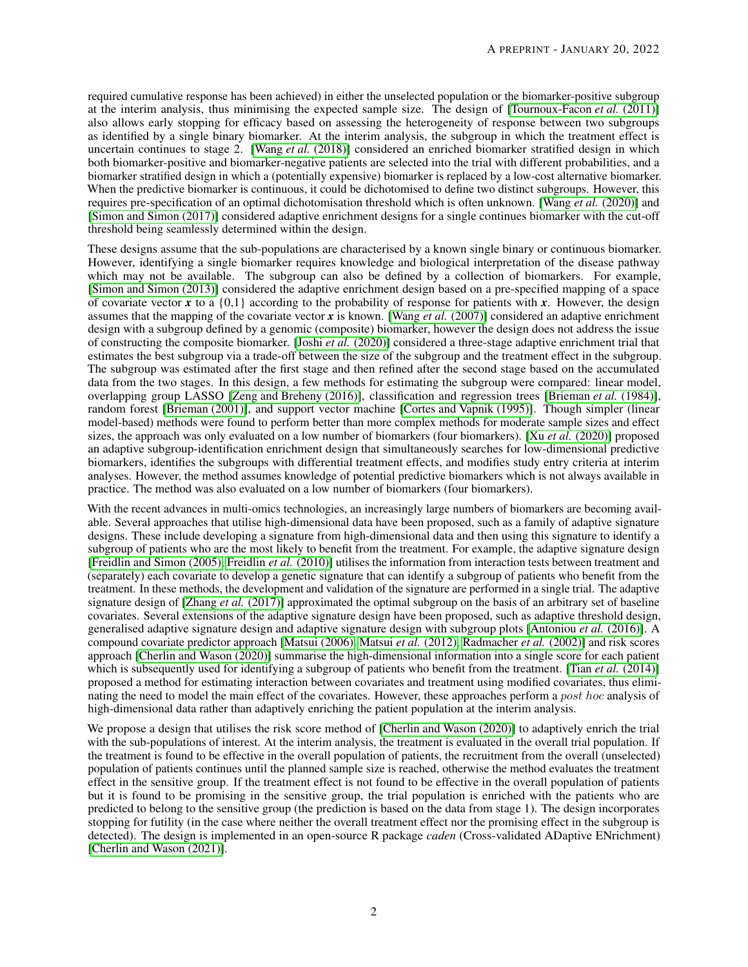required cumulative response has been achieved) in either the unselected population or the biomarker-positive subgroup at the interim analysis, thus minimising the expected sample size. The design of [\[Tournoux-Facon](#page-11-1) *et al.* (2011)] also allows early stopping for efficacy based on assessing the heterogeneity of response between two subgroups as identified by a single binary biomarker. At the interim analysis, the subgroup in which the treatment effect is uncertain continues to stage 2. [Wang *et al.* [\(2018\)\]](#page-11-2) considered an enriched biomarker stratified design in which both biomarker-positive and biomarker-negative patients are selected into the trial with different probabilities, and a biomarker stratified design in which a (potentially expensive) biomarker is replaced by a low-cost alternative biomarker. When the predictive biomarker is continuous, it could be dichotomised to define two distinct subgroups. However, this requires pre-specification of an optimal dichotomisation threshold which is often unknown. [Wang *et al.* [\(2020\)\]](#page-11-3) and [\[Simon and Simon \(2017\)\]](#page-11-4) considered adaptive enrichment designs for a single continues biomarker with the cut-off threshold being seamlessly determined within the design.

These designs assume that the sub-populations are characterised by a known single binary or continuous biomarker. However, identifying a single biomarker requires knowledge and biological interpretation of the disease pathway which may not be available. The subgroup can also be defined by a collection of biomarkers. For example, [\[Simon and Simon \(2013\)\]](#page-9-2) considered the adaptive enrichment design based on a pre-specified mapping of a space of covariate vector x to a  $\{0,1\}$  according to the probability of response for patients with x. However, the design assumes that the mapping of the covariate vector  $\vec{x}$  is known. [Wang *et al.* [\(2007\)\]](#page-11-5) considered an adaptive enrichment design with a subgroup defined by a genomic (composite) biomarker, however the design does not address the issue of constructing the composite biomarker. [Joshi *et al.* [\(2020\)\]](#page-9-3) considered a three-stage adaptive enrichment trial that estimates the best subgroup via a trade-off between the size of the subgroup and the treatment effect in the subgroup. The subgroup was estimated after the first stage and then refined after the second stage based on the accumulated data from the two stages. In this design, a few methods for estimating the subgroup were compared: linear model, overlapping group LASSO [\[Zeng and Breheny \(2016\)\]](#page-11-6), classification and regression trees [\[Brieman](#page-8-0) *et al.* (1984)], random forest [\[Brieman \(2001\)\]](#page-8-1), and support vector machine [\[Cortes and Vapnik \(1995\)\]](#page-8-2). Though simpler (linear model-based) methods were found to perform better than more complex methods for moderate sample sizes and effect sizes, the approach was only evaluated on a low number of biomarkers (four biomarkers). [Xu *et al.* [\(2020\)\]](#page-11-7) proposed an adaptive subgroup-identification enrichment design that simultaneously searches for low-dimensional predictive biomarkers, identifies the subgroups with differential treatment effects, and modifies study entry criteria at interim analyses. However, the method assumes knowledge of potential predictive biomarkers which is not always available in practice. The method was also evaluated on a low number of biomarkers (four biomarkers).

With the recent advances in multi-omics technologies, an increasingly large numbers of biomarkers are becoming available. Several approaches that utilise high-dimensional data have been proposed, such as a family of adaptive signature designs. These include developing a signature from high-dimensional data and then using this signature to identify a subgroup of patients who are the most likely to benefit from the treatment. For example, the adaptive signature design [\[Freidlin and Simon \(2005\),](#page-8-3) [Freidlin](#page-8-4) *et al.* (2010)] utilises the information from interaction tests between treatment and (separately) each covariate to develop a genetic signature that can identify a subgroup of patients who benefit from the treatment. In these methods, the development and validation of the signature are performed in a single trial. The adaptive signature design of [Zhang *et al.* [\(2017\)\]](#page-11-8) approximated the optimal subgroup on the basis of an arbitrary set of baseline covariates. Several extensions of the adaptive signature design have been proposed, such as adaptive threshold design, generalised adaptive signature design and adaptive signature design with subgroup plots [\[Antoniou](#page-7-0) *et al.* (2016)]. A compound covariate predictor approach [\[Matsui \(2006\),](#page-9-4) [Matsui](#page-9-5) *et al.* (2012), [Radmacher](#page-9-6) *et al.* (2002)] and risk scores approach [\[Cherlin and Wason \(2020\)\]](#page-8-5) summarise the high-dimensional information into a single score for each patient which is subsequently used for identifying a subgroup of patients who benefit from the treatment. [Tian *et al.* [\(2014\)\]](#page-11-9) proposed a method for estimating interaction between covariates and treatment using modified covariates, thus eliminating the need to model the main effect of the covariates. However, these approaches perform a post hoc analysis of high-dimensional data rather than adaptively enriching the patient population at the interim analysis.

We propose a design that utilises the risk score method of [\[Cherlin and Wason \(2020\)\]](#page-8-5) to adaptively enrich the trial with the sub-populations of interest. At the interim analysis, the treatment is evaluated in the overall trial population. If the treatment is found to be effective in the overall population of patients, the recruitment from the overall (unselected) population of patients continues until the planned sample size is reached, otherwise the method evaluates the treatment effect in the sensitive group. If the treatment effect is not found to be effective in the overall population of patients but it is found to be promising in the sensitive group, the trial population is enriched with the patients who are predicted to belong to the sensitive group (the prediction is based on the data from stage 1). The design incorporates stopping for futility (in the case where neither the overall treatment effect nor the promising effect in the subgroup is detected). The design is implemented in an open-source R package *caden* (Cross-validated ADaptive ENrichment) [\[Cherlin and Wason \(2021\)\]](#page-8-6).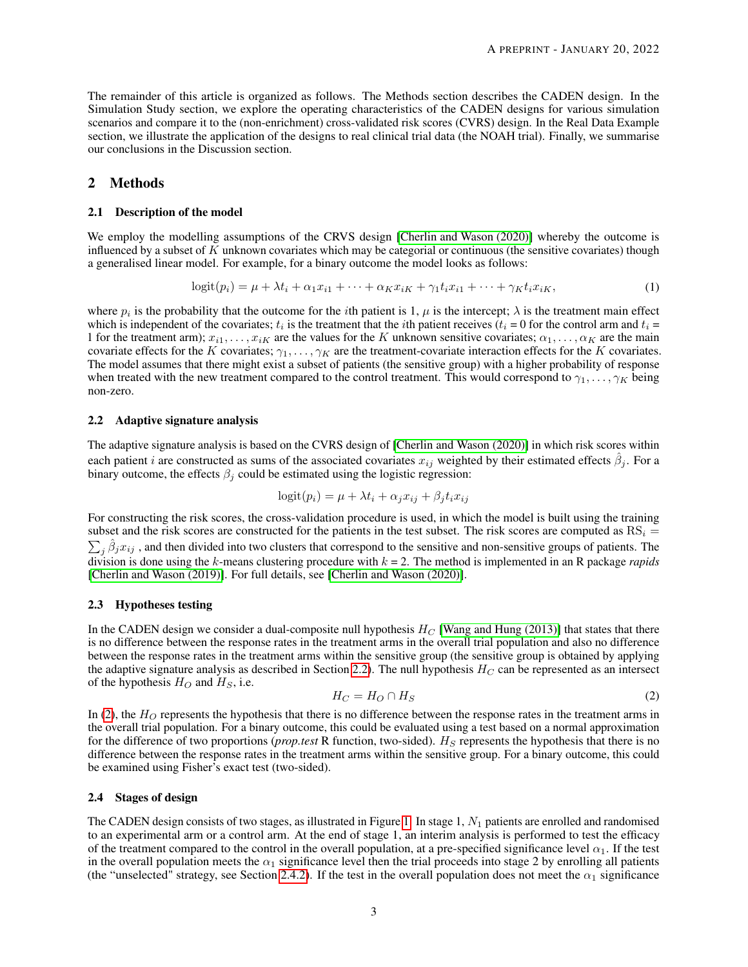The remainder of this article is organized as follows. The Methods section describes the CADEN design. In the Simulation Study section, we explore the operating characteristics of the CADEN designs for various simulation scenarios and compare it to the (non-enrichment) cross-validated risk scores (CVRS) design. In the Real Data Example section, we illustrate the application of the designs to real clinical trial data (the NOAH trial). Finally, we summarise our conclusions in the Discussion section.

#### 2 Methods

#### 2.1 Description of the model

We employ the modelling assumptions of the CRVS design [\[Cherlin and Wason \(2020\)\]](#page-8-5) whereby the outcome is influenced by a subset of  $K$  unknown covariates which may be categorial or continuous (the sensitive covariates) though a generalised linear model. For example, for a binary outcome the model looks as follows:

<span id="page-2-2"></span>
$$
logit(p_i) = \mu + \lambda t_i + \alpha_1 x_{i1} + \dots + \alpha_K x_{iK} + \gamma_1 t_i x_{i1} + \dots + \gamma_K t_i x_{iK},
$$
\n<sup>(1)</sup>

where  $p_i$  is the probability that the outcome for the *i*th patient is 1,  $\mu$  is the intercept;  $\lambda$  is the treatment main effect which is independent of the covariates;  $t_i$  is the treatment that the *i*th patient receives ( $t_i = 0$  for the control arm and  $t_i =$ 1 for the treatment arm);  $x_{i1}, \ldots, x_{iK}$  are the values for the K unknown sensitive covariates;  $\alpha_1, \ldots, \alpha_K$  are the main covariate effects for the K covariates;  $\gamma_1, \ldots, \gamma_K$  are the treatment-covariate interaction effects for the K covariates. The model assumes that there might exist a subset of patients (the sensitive group) with a higher probability of response when treated with the new treatment compared to the control treatment. This would correspond to  $\gamma_1, \ldots, \gamma_K$  being non-zero.

#### <span id="page-2-0"></span>2.2 Adaptive signature analysis

The adaptive signature analysis is based on the CVRS design of [\[Cherlin and Wason \(2020\)\]](#page-8-5) in which risk scores within each patient *i* are constructed as sums of the associated covariates  $x_{ij}$  weighted by their estimated effects  $\hat{\beta}_j$ . For a binary outcome, the effects  $\beta_j$  could be estimated using the logistic regression:

$$
logit(p_i) = \mu + \lambda t_i + \alpha_j x_{ij} + \beta_j t_i x_{ij}
$$

For constructing the risk scores, the cross-validation procedure is used, in which the model is built using the training subset and the risk scores are constructed for the patients in the test subset. The risk scores are computed as  $RS_i =$  $\sum_j \hat{\beta}_j x_{ij}$ , and then divided into two clusters that correspond to the sensitive and non-sensitive groups of patients. The division is done using the k-means clustering procedure with k = 2. The method is implemented in an R package *rapids* [\[Cherlin and Wason \(2019\)\]](#page-8-7). For full details, see [\[Cherlin and Wason \(2020\)\]](#page-8-5).

#### 2.3 Hypotheses testing

In the CADEN design we consider a dual-composite null hypothesis  $H_C$  [\[Wang and Hung \(2013\)\]](#page-11-10) that states that there is no difference between the response rates in the treatment arms in the overall trial population and also no difference between the response rates in the treatment arms within the sensitive group (the sensitive group is obtained by applying the adaptive signature analysis as described in Section [2.2\)](#page-2-0). The null hypothesis  $H_C$  can be represented as an intersect of the hypothesis  $H_O$  and  $H_S$ , i.e.

<span id="page-2-1"></span>
$$
H_C = H_O \cap H_S \tag{2}
$$

In [\(2\)](#page-2-1), the  $H<sub>O</sub>$  represents the hypothesis that there is no difference between the response rates in the treatment arms in the overall trial population. For a binary outcome, this could be evaluated using a test based on a normal approximation for the difference of two proportions (*prop.test* R function, two-sided). H<sub>S</sub> represents the hypothesis that there is no difference between the response rates in the treatment arms within the sensitive group. For a binary outcome, this could be examined using Fisher's exact test (two-sided).

#### 2.4 Stages of design

The CADEN design consists of two stages, as illustrated in Figure [1.](#page-6-0) In stage 1,  $N_1$  patients are enrolled and randomised to an experimental arm or a control arm. At the end of stage 1, an interim analysis is performed to test the efficacy of the treatment compared to the control in the overall population, at a pre-specified significance level  $\alpha_1$ . If the test in the overall population meets the  $\alpha_1$  significance level then the trial proceeds into stage 2 by enrolling all patients (the "unselected" strategy, see Section [2.4.2\)](#page-3-0). If the test in the overall population does not meet the  $\alpha_1$  significance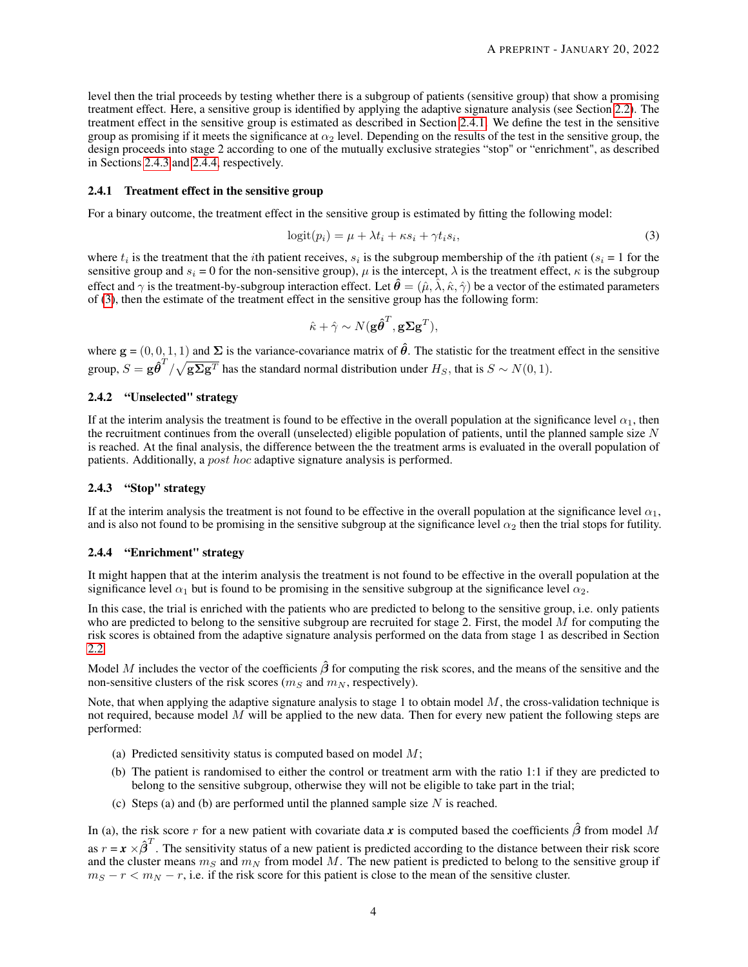level then the trial proceeds by testing whether there is a subgroup of patients (sensitive group) that show a promising treatment effect. Here, a sensitive group is identified by applying the adaptive signature analysis (see Section [2.2\)](#page-2-0). The treatment effect in the sensitive group is estimated as described in Section [2.4.1.](#page-3-1) We define the test in the sensitive group as promising if it meets the significance at  $\alpha_2$  level. Depending on the results of the test in the sensitive group, the design proceeds into stage 2 according to one of the mutually exclusive strategies "stop" or "enrichment", as described in Sections [2.4.3](#page-3-2) and [2.4.4,](#page-3-3) respectively.

#### <span id="page-3-1"></span>2.4.1 Treatment effect in the sensitive group

For a binary outcome, the treatment effect in the sensitive group is estimated by fitting the following model:

$$
logit(p_i) = \mu + \lambda t_i + \kappa s_i + \gamma t_i s_i,
$$
\n(3)

where  $t_i$  is the treatment that the *i*th patient receives,  $s_i$  is the subgroup membership of the *i*th patient ( $s_i = 1$  for the sensitive group and  $s_i = 0$  for the non-sensitive group),  $\mu$  is the intercept,  $\lambda$  is the treatment effect,  $\kappa$  is the subgroup effect and  $\gamma$  is the treatment-by-subgroup interaction effect. Let  $\hat{\theta} = (\hat{\mu}, \hat{\lambda}, \hat{\kappa}, \hat{\gamma})$  be a vector of the estimated parameters of [\(3\)](#page-3-4), then the estimate of the treatment effect in the sensitive group has the following form:

<span id="page-3-4"></span>
$$
\hat{\kappa} + \hat{\gamma} \sim N(\mathbf{g}\hat{\boldsymbol{\theta}}^T, \mathbf{g}\boldsymbol{\Sigma}\mathbf{g}^T),
$$

where  $g = (0, 0, 1, 1)$  and  $\Sigma$  is the variance-covariance matrix of  $\hat{\theta}$ . The statistic for the treatment effect in the sensitive group,  $S = g \hat{\theta}^T / \sqrt{g \Sigma g^T}$  has the standard normal distribution under  $H_S$ , that is  $S \sim N(0, 1)$ .

#### <span id="page-3-0"></span>2.4.2 "Unselected" strategy

If at the interim analysis the treatment is found to be effective in the overall population at the significance level  $\alpha_1$ , then the recruitment continues from the overall (unselected) eligible population of patients, until the planned sample size  $N$ is reached. At the final analysis, the difference between the the treatment arms is evaluated in the overall population of patients. Additionally, a post hoc adaptive signature analysis is performed.

### <span id="page-3-2"></span>2.4.3 "Stop" strategy

If at the interim analysis the treatment is not found to be effective in the overall population at the significance level  $\alpha_1$ , and is also not found to be promising in the sensitive subgroup at the significance level  $\alpha_2$  then the trial stops for futility.

### <span id="page-3-3"></span>2.4.4 "Enrichment" strategy

It might happen that at the interim analysis the treatment is not found to be effective in the overall population at the significance level  $\alpha_1$  but is found to be promising in the sensitive subgroup at the significance level  $\alpha_2$ .

In this case, the trial is enriched with the patients who are predicted to belong to the sensitive group, i.e. only patients who are predicted to belong to the sensitive subgroup are recruited for stage 2. First, the model  $M$  for computing the risk scores is obtained from the adaptive signature analysis performed on the data from stage 1 as described in Section [2.2.](#page-2-0)

Model M includes the vector of the coefficients  $\hat{\beta}$  for computing the risk scores, and the means of the sensitive and the non-sensitive clusters of the risk scores ( $m<sub>S</sub>$  and  $m<sub>N</sub>$ , respectively).

Note, that when applying the adaptive signature analysis to stage 1 to obtain model  $M$ , the cross-validation technique is not required, because model M will be applied to the new data. Then for every new patient the following steps are performed:

- (a) Predicted sensitivity status is computed based on model  $M$ ;
- (b) The patient is randomised to either the control or treatment arm with the ratio 1:1 if they are predicted to belong to the sensitive subgroup, otherwise they will not be eligible to take part in the trial;
- (c) Steps (a) and (b) are performed until the planned sample size  $N$  is reached.

In (a), the risk score r for a new patient with covariate data x is computed based the coefficients  $\hat{\beta}$  from model M as  $r = x \times \hat{\beta}^T$ . The sensitivity status of a new patient is predicted according to the distance between their risk score and the cluster means  $m<sub>S</sub>$  and  $m<sub>N</sub>$  from model M. The new patient is predicted to belong to the sensitive group if  $m_S - r < m_N - r$ , i.e. if the risk score for this patient is close to the mean of the sensitive cluster.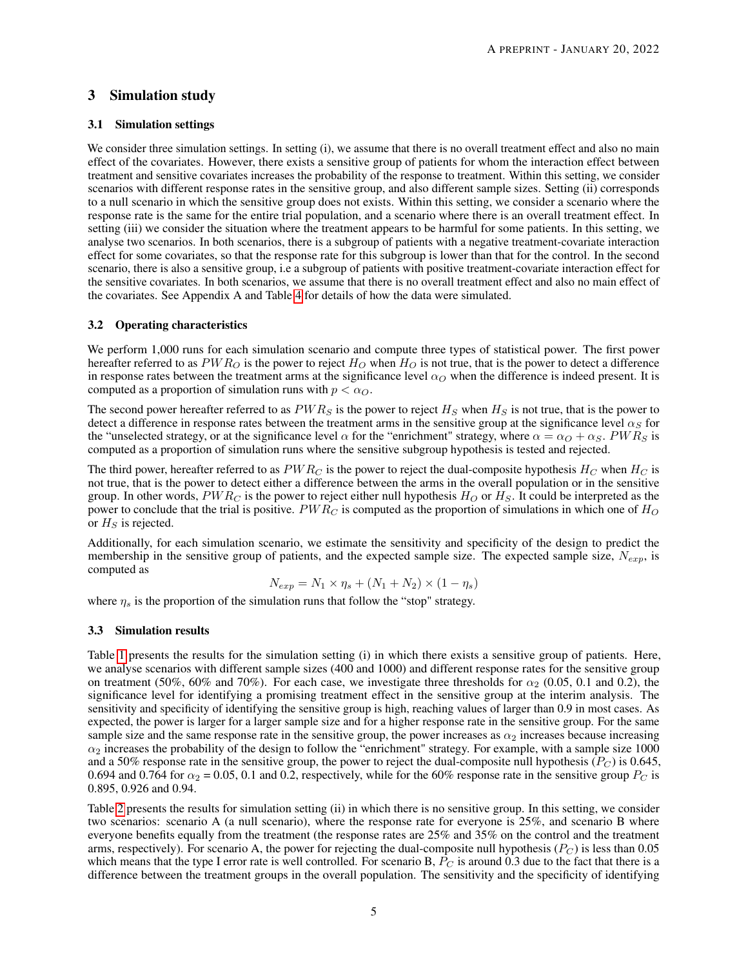# 3 Simulation study

## 3.1 Simulation settings

We consider three simulation settings. In setting (i), we assume that there is no overall treatment effect and also no main effect of the covariates. However, there exists a sensitive group of patients for whom the interaction effect between treatment and sensitive covariates increases the probability of the response to treatment. Within this setting, we consider scenarios with different response rates in the sensitive group, and also different sample sizes. Setting (ii) corresponds to a null scenario in which the sensitive group does not exists. Within this setting, we consider a scenario where the response rate is the same for the entire trial population, and a scenario where there is an overall treatment effect. In setting (iii) we consider the situation where the treatment appears to be harmful for some patients. In this setting, we analyse two scenarios. In both scenarios, there is a subgroup of patients with a negative treatment-covariate interaction effect for some covariates, so that the response rate for this subgroup is lower than that for the control. In the second scenario, there is also a sensitive group, i.e a subgroup of patients with positive treatment-covariate interaction effect for the sensitive covariates. In both scenarios, we assume that there is no overall treatment effect and also no main effect of the covariates. See Appendix A and Table [4](#page-10-0) for details of how the data were simulated.

### 3.2 Operating characteristics

We perform 1,000 runs for each simulation scenario and compute three types of statistical power. The first power hereafter referred to as  $PWR_O$  is the power to reject  $H_O$  when  $H_O$  is not true, that is the power to detect a difference in response rates between the treatment arms at the significance level  $\alpha_0$  when the difference is indeed present. It is computed as a proportion of simulation runs with  $p < \alpha_O$ .

The second power hereafter referred to as  $PWR<sub>S</sub>$  is the power to reject  $H<sub>S</sub>$  when  $H<sub>S</sub>$  is not true, that is the power to detect a difference in response rates between the treatment arms in the sensitive group at the significance level  $\alpha_S$  for the "unselected strategy, or at the significance level  $\alpha$  for the "enrichment" strategy, where  $\alpha = \alpha_O + \alpha_S$ . PWRs is computed as a proportion of simulation runs where the sensitive subgroup hypothesis is tested and rejected.

The third power, hereafter referred to as  $PWR<sub>C</sub>$  is the power to reject the dual-composite hypothesis  $H<sub>C</sub>$  when  $H<sub>C</sub>$  is not true, that is the power to detect either a difference between the arms in the overall population or in the sensitive group. In other words,  $PWR_C$  is the power to reject either null hypothesis  $H_O$  or  $H_S$ . It could be interpreted as the power to conclude that the trial is positive.  $PWR_C$  is computed as the proportion of simulations in which one of  $H_O$ or  $H<sub>S</sub>$  is rejected.

Additionally, for each simulation scenario, we estimate the sensitivity and specificity of the design to predict the membership in the sensitive group of patients, and the expected sample size. The expected sample size,  $N_{exp}$ , is computed as

$$
N_{exp} = N_1 \times \eta_s + (N_1 + N_2) \times (1 - \eta_s)
$$

where  $\eta_s$  is the proportion of the simulation runs that follow the "stop" strategy.

## 3.3 Simulation results

Table [1](#page-8-8) presents the results for the simulation setting (i) in which there exists a sensitive group of patients. Here, we analyse scenarios with different sample sizes (400 and 1000) and different response rates for the sensitive group on treatment (50%, 60% and 70%). For each case, we investigate three thresholds for  $\alpha_2$  (0.05, 0.1 and 0.2), the significance level for identifying a promising treatment effect in the sensitive group at the interim analysis. The sensitivity and specificity of identifying the sensitive group is high, reaching values of larger than 0.9 in most cases. As expected, the power is larger for a larger sample size and for a higher response rate in the sensitive group. For the same sample size and the same response rate in the sensitive group, the power increases as  $\alpha_2$  increases because increasing  $\alpha_2$  increases the probability of the design to follow the "enrichment" strategy. For example, with a sample size 1000 and a 50% response rate in the sensitive group, the power to reject the dual-composite null hypothesis ( $P_C$ ) is 0.645, 0.694 and 0.764 for  $\alpha_2 = 0.05$ , 0.1 and 0.2, respectively, while for the 60% response rate in the sensitive group  $P_C$  is 0.895, 0.926 and 0.94.

Table [2](#page-9-7) presents the results for simulation setting (ii) in which there is no sensitive group. In this setting, we consider two scenarios: scenario A (a null scenario), where the response rate for everyone is 25%, and scenario B where everyone benefits equally from the treatment (the response rates are 25% and 35% on the control and the treatment arms, respectively). For scenario A, the power for rejecting the dual-composite null hypothesis  $(P_C)$  is less than 0.05 which means that the type I error rate is well controlled. For scenario B,  $P_C$  is around 0.3 due to the fact that there is a difference between the treatment groups in the overall population. The sensitivity and the specificity of identifying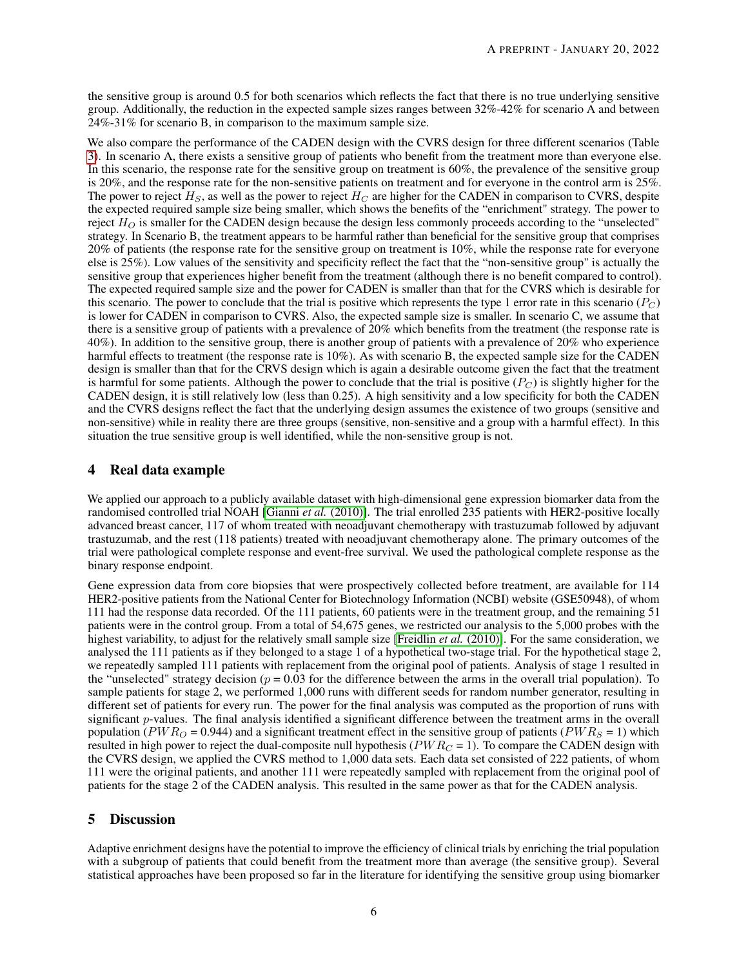the sensitive group is around 0.5 for both scenarios which reflects the fact that there is no true underlying sensitive group. Additionally, the reduction in the expected sample sizes ranges between 32%-42% for scenario A and between 24%-31% for scenario B, in comparison to the maximum sample size.

We also compare the performance of the CADEN design with the CVRS design for three different scenarios (Table [3\)](#page-10-1). In scenario A, there exists a sensitive group of patients who benefit from the treatment more than everyone else. In this scenario, the response rate for the sensitive group on treatment is 60%, the prevalence of the sensitive group is 20%, and the response rate for the non-sensitive patients on treatment and for everyone in the control arm is 25%. The power to reject  $H_S$ , as well as the power to reject  $H_C$  are higher for the CADEN in comparison to CVRS, despite the expected required sample size being smaller, which shows the benefits of the "enrichment" strategy. The power to reject  $H<sub>O</sub>$  is smaller for the CADEN design because the design less commonly proceeds according to the "unselected" strategy. In Scenario B, the treatment appears to be harmful rather than beneficial for the sensitive group that comprises 20% of patients (the response rate for the sensitive group on treatment is 10%, while the response rate for everyone else is 25%). Low values of the sensitivity and specificity reflect the fact that the "non-sensitive group" is actually the sensitive group that experiences higher benefit from the treatment (although there is no benefit compared to control). The expected required sample size and the power for CADEN is smaller than that for the CVRS which is desirable for this scenario. The power to conclude that the trial is positive which represents the type 1 error rate in this scenario ( $P_C$ ) is lower for CADEN in comparison to CVRS. Also, the expected sample size is smaller. In scenario C, we assume that there is a sensitive group of patients with a prevalence of 20% which benefits from the treatment (the response rate is 40%). In addition to the sensitive group, there is another group of patients with a prevalence of 20% who experience harmful effects to treatment (the response rate is 10%). As with scenario B, the expected sample size for the CADEN design is smaller than that for the CRVS design which is again a desirable outcome given the fact that the treatment is harmful for some patients. Although the power to conclude that the trial is positive  $(P_C)$  is slightly higher for the CADEN design, it is still relatively low (less than 0.25). A high sensitivity and a low specificity for both the CADEN and the CVRS designs reflect the fact that the underlying design assumes the existence of two groups (sensitive and non-sensitive) while in reality there are three groups (sensitive, non-sensitive and a group with a harmful effect). In this situation the true sensitive group is well identified, while the non-sensitive group is not.

# 4 Real data example

We applied our approach to a publicly available dataset with high-dimensional gene expression biomarker data from the randomised controlled trial NOAH [\[Gianni](#page-9-8) *et al.* (2010)]. The trial enrolled 235 patients with HER2-positive locally advanced breast cancer, 117 of whom treated with neoadjuvant chemotherapy with trastuzumab followed by adjuvant trastuzumab, and the rest (118 patients) treated with neoadjuvant chemotherapy alone. The primary outcomes of the trial were pathological complete response and event-free survival. We used the pathological complete response as the binary response endpoint.

Gene expression data from core biopsies that were prospectively collected before treatment, are available for 114 HER2-positive patients from the National Center for Biotechnology Information (NCBI) website (GSE50948), of whom 111 had the response data recorded. Of the 111 patients, 60 patients were in the treatment group, and the remaining 51 patients were in the control group. From a total of 54,675 genes, we restricted our analysis to the 5,000 probes with the highest variability, to adjust for the relatively small sample size [\[Freidlin](#page-8-4) *et al.* (2010)]. For the same consideration, we analysed the 111 patients as if they belonged to a stage 1 of a hypothetical two-stage trial. For the hypothetical stage 2, we repeatedly sampled 111 patients with replacement from the original pool of patients. Analysis of stage 1 resulted in the "unselected" strategy decision ( $p = 0.03$  for the difference between the arms in the overall trial population). To sample patients for stage 2, we performed 1,000 runs with different seeds for random number generator, resulting in different set of patients for every run. The power for the final analysis was computed as the proportion of runs with significant  $p$ -values. The final analysis identified a significant difference between the treatment arms in the overall population ( $PWR<sub>O</sub> = 0.944$ ) and a significant treatment effect in the sensitive group of patients ( $PWR<sub>S</sub> = 1$ ) which resulted in high power to reject the dual-composite null hypothesis ( $PWR<sub>C</sub> = 1$ ). To compare the CADEN design with the CVRS design, we applied the CVRS method to 1,000 data sets. Each data set consisted of 222 patients, of whom 111 were the original patients, and another 111 were repeatedly sampled with replacement from the original pool of patients for the stage 2 of the CADEN analysis. This resulted in the same power as that for the CADEN analysis.

# 5 Discussion

Adaptive enrichment designs have the potential to improve the efficiency of clinical trials by enriching the trial population with a subgroup of patients that could benefit from the treatment more than average (the sensitive group). Several statistical approaches have been proposed so far in the literature for identifying the sensitive group using biomarker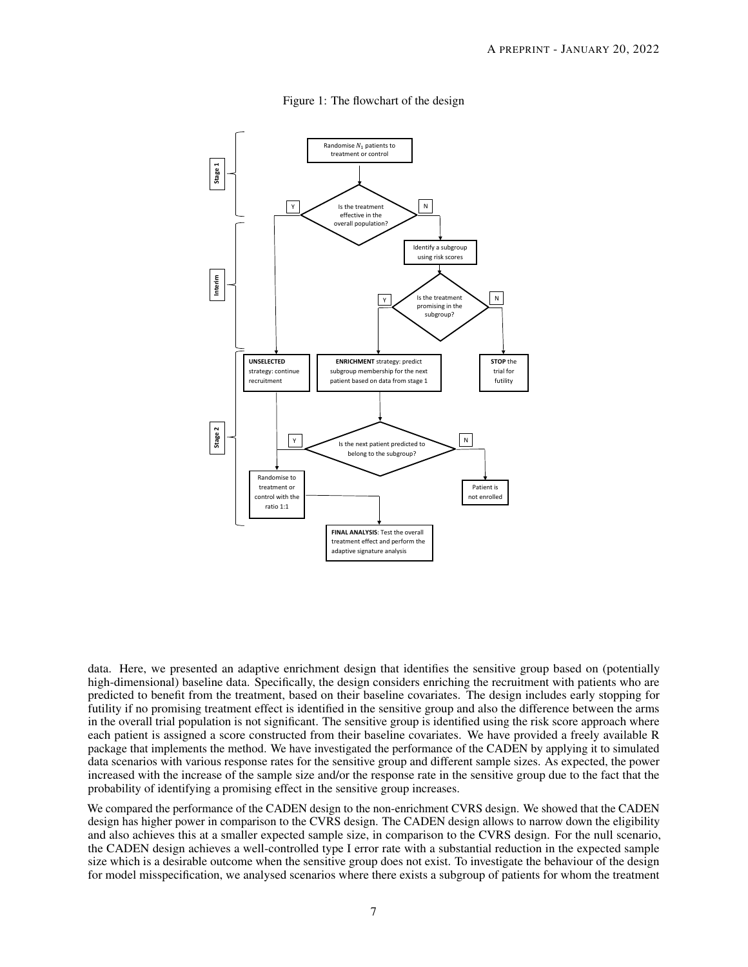

<span id="page-6-0"></span>Figure 1: The flowchart of the design

data. Here, we presented an adaptive enrichment design that identifies the sensitive group based on (potentially high-dimensional) baseline data. Specifically, the design considers enriching the recruitment with patients who are predicted to benefit from the treatment, based on their baseline covariates. The design includes early stopping for futility if no promising treatment effect is identified in the sensitive group and also the difference between the arms in the overall trial population is not significant. The sensitive group is identified using the risk score approach where each patient is assigned a score constructed from their baseline covariates. We have provided a freely available R package that implements the method. We have investigated the performance of the CADEN by applying it to simulated data scenarios with various response rates for the sensitive group and different sample sizes. As expected, the power increased with the increase of the sample size and/or the response rate in the sensitive group due to the fact that the probability of identifying a promising effect in the sensitive group increases.

We compared the performance of the CADEN design to the non-enrichment CVRS design. We showed that the CADEN design has higher power in comparison to the CVRS design. The CADEN design allows to narrow down the eligibility and also achieves this at a smaller expected sample size, in comparison to the CVRS design. For the null scenario, the CADEN design achieves a well-controlled type I error rate with a substantial reduction in the expected sample size which is a desirable outcome when the sensitive group does not exist. To investigate the behaviour of the design for model misspecification, we analysed scenarios where there exists a subgroup of patients for whom the treatment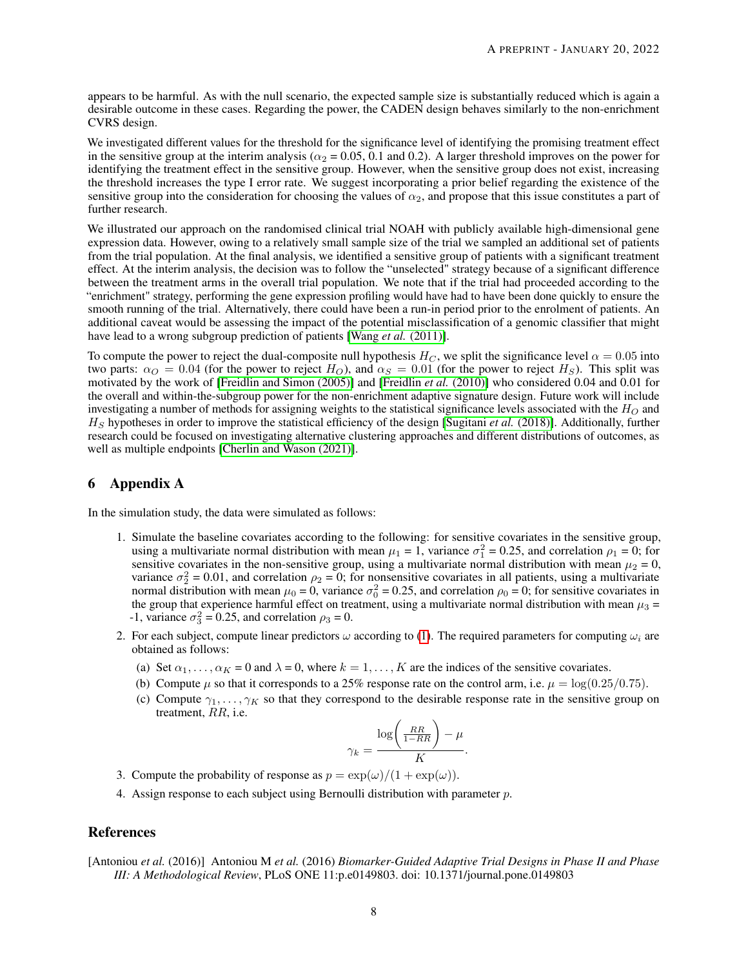appears to be harmful. As with the null scenario, the expected sample size is substantially reduced which is again a desirable outcome in these cases. Regarding the power, the CADEN design behaves similarly to the non-enrichment CVRS design.

We investigated different values for the threshold for the significance level of identifying the promising treatment effect in the sensitive group at the interim analysis ( $\alpha_2$  = 0.05, 0.1 and 0.2). A larger threshold improves on the power for identifying the treatment effect in the sensitive group. However, when the sensitive group does not exist, increasing the threshold increases the type I error rate. We suggest incorporating a prior belief regarding the existence of the sensitive group into the consideration for choosing the values of  $\alpha_2$ , and propose that this issue constitutes a part of further research.

We illustrated our approach on the randomised clinical trial NOAH with publicly available high-dimensional gene expression data. However, owing to a relatively small sample size of the trial we sampled an additional set of patients from the trial population. At the final analysis, we identified a sensitive group of patients with a significant treatment effect. At the interim analysis, the decision was to follow the "unselected" strategy because of a significant difference between the treatment arms in the overall trial population. We note that if the trial had proceeded according to the "enrichment" strategy, performing the gene expression profiling would have had to have been done quickly to ensure the smooth running of the trial. Alternatively, there could have been a run-in period prior to the enrolment of patients. An additional caveat would be assessing the impact of the potential misclassification of a genomic classifier that might have lead to a wrong subgroup prediction of patients [Wang *et al.* [\(2011\)\]](#page-11-11).

To compute the power to reject the dual-composite null hypothesis  $H_C$ , we split the significance level  $\alpha = 0.05$  into two parts:  $\alpha_O = 0.04$  (for the power to reject  $H_O$ ), and  $\alpha_S = 0.01$  (for the power to reject  $H_S$ ). This split was motivated by the work of [\[Freidlin and Simon \(2005\)\]](#page-8-3) and [\[Freidlin](#page-8-4) *et al.* (2010)] who considered 0.04 and 0.01 for the overall and within-the-subgroup power for the non-enrichment adaptive signature design. Future work will include investigating a number of methods for assigning weights to the statistical significance levels associated with the  $H_O$  and  $H<sub>S</sub>$  hypotheses in order to improve the statistical efficiency of the design [\[Sugitani](#page-11-12) *et al.* (2018)]. Additionally, further research could be focused on investigating alternative clustering approaches and different distributions of outcomes, as well as multiple endpoints [\[Cherlin and Wason \(2021\)\]](#page-8-9).

## 6 Appendix A

In the simulation study, the data were simulated as follows:

- 1. Simulate the baseline covariates according to the following: for sensitive covariates in the sensitive group, using a multivariate normal distribution with mean  $\mu_1 = 1$ , variance  $\sigma_1^2 = 0.25$ , and correlation  $\rho_1 = 0$ ; for sensitive covariates in the non-sensitive group, using a multivariate normal distribution with mean  $\mu_2 = 0$ , variance  $\sigma_2^2 = 0.01$ , and correlation  $\rho_2 = 0$ ; for nonsensitive covariates in all patients, using a multivariate normal distribution with mean  $\mu_0 = 0$ , variance  $\sigma_0^2 = 0.25$ , and correlation  $\rho_0 = 0$ ; for sensitive covariates in the group that experience harmful effect on treatment, using a multivariate normal distribution with mean  $\mu_3$  = -1, variance  $\sigma_3^2 = 0.25$ , and correlation  $\rho_3 = 0$ .
- 2. For each subject, compute linear predictors  $\omega$  according to [\(1\)](#page-2-2). The required parameters for computing  $\omega_i$  are obtained as follows:
	- (a) Set  $\alpha_1, \ldots, \alpha_K = 0$  and  $\lambda = 0$ , where  $k = 1, \ldots, K$  are the indices of the sensitive covariates.
	- (b) Compute  $\mu$  so that it corresponds to a 25% response rate on the control arm, i.e.  $\mu = \log(0.25/0.75)$ .
	- (c) Compute  $\gamma_1, \ldots, \gamma_K$  so that they correspond to the desirable response rate in the sensitive group on treatment, RR, i.e.

$$
\gamma_k = \frac{\log\biggl(\frac{RR}{1-RR}\biggr) - \mu}{K}.
$$

- 3. Compute the probability of response as  $p = \exp(\omega)/(1 + \exp(\omega))$ .
- 4. Assign response to each subject using Bernoulli distribution with parameter p.

# References

<span id="page-7-0"></span>[Antoniou *et al.* (2016)] Antoniou M *et al.* (2016) *Biomarker-Guided Adaptive Trial Designs in Phase II and Phase III: A Methodological Review*, PLoS ONE 11:p.e0149803. doi: 10.1371/journal.pone.0149803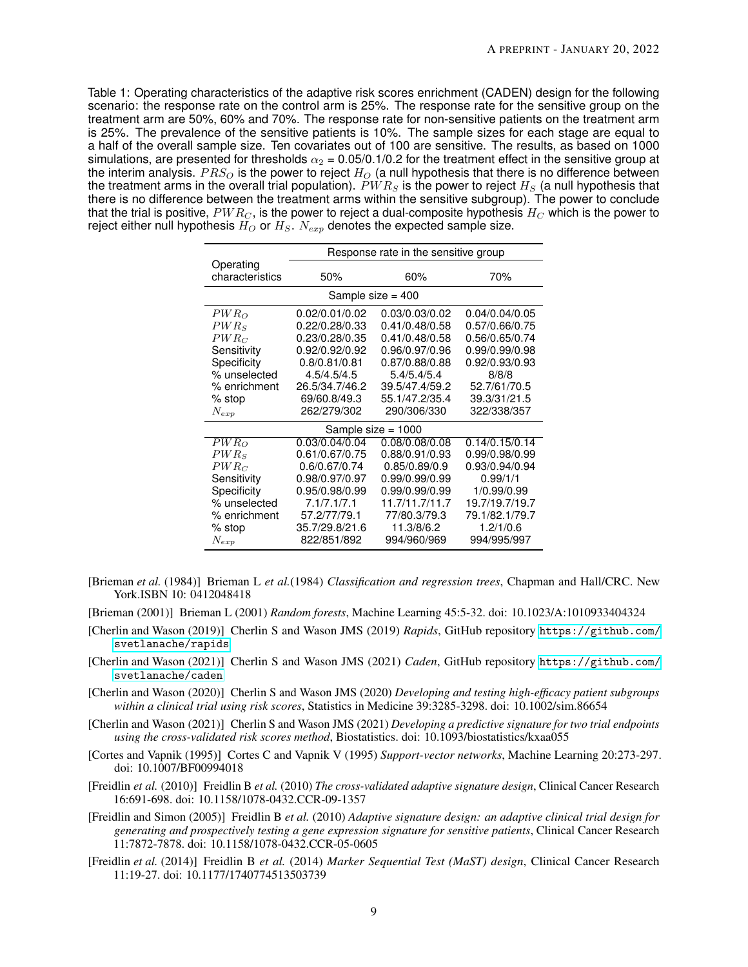<span id="page-8-8"></span>Table 1: Operating characteristics of the adaptive risk scores enrichment (CADEN) design for the following scenario: the response rate on the control arm is 25%. The response rate for the sensitive group on the treatment arm are 50%, 60% and 70%. The response rate for non-sensitive patients on the treatment arm is 25%. The prevalence of the sensitive patients is 10%. The sample sizes for each stage are equal to a half of the overall sample size. Ten covariates out of 100 are sensitive. The results, as based on 1000 simulations, are presented for thresholds  $\alpha_2$  = 0.05/0.1/0.2 for the treatment effect in the sensitive group at the interim analysis.  $PRS<sub>O</sub>$  is the power to reject  $H<sub>O</sub>$  (a null hypothesis that there is no difference between the treatment arms in the overall trial population).  $PWR<sub>S</sub>$  is the power to reject  $H<sub>S</sub>$  (a null hypothesis that there is no difference between the treatment arms within the sensitive subgroup). The power to conclude that the trial is positive,  $PWR<sub>C</sub>$ , is the power to reject a dual-composite hypothesis  $H<sub>C</sub>$  which is the power to reject either null hypothesis  $H_O$  or  $H_S$ .  $N_{exp}$  denotes the expected sample size.

|                     | Response rate in the sensitive group |                      |                |  |  |  |
|---------------------|--------------------------------------|----------------------|----------------|--|--|--|
| Operating           |                                      |                      |                |  |  |  |
| characteristics     | 50%                                  | 60%                  | 70%            |  |  |  |
| Sample size $=$ 400 |                                      |                      |                |  |  |  |
| $PWR_O$             | 0.02/0.01/0.02                       | 0.03/0.03/0.02       | 0.04/0.04/0.05 |  |  |  |
| $PWR_{S}$           | 0.22/0.28/0.33                       | 0.41/0.48/0.58       | 0.57/0.66/0.75 |  |  |  |
| $PWR_C$             | 0.23/0.28/0.35                       | 0.41/0.48/0.58       | 0.56/0.65/0.74 |  |  |  |
| Sensitivity         | 0.92/0.92/0.92                       | 0.96/0.97/0.96       | 0.99/0.99/0.98 |  |  |  |
| Specificity         | 0.8/0.81/0.81                        | 0.87/0.88/0.88       | 0.92/0.93/0.93 |  |  |  |
| % unselected        | 4.5/4.5/4.5                          | 5.4/5.4/5.4          | 8/8/8          |  |  |  |
| % enrichment        | 26.5/34.7/46.2                       | 39.5/47.4/59.2       | 52.7/61/70.5   |  |  |  |
| $%$ stop            | 69/60.8/49.3                         | 55.1/47.2/35.4       | 39.3/31/21.5   |  |  |  |
| $N_{exp}$           | 262/279/302                          | 290/306/330          | 322/338/357    |  |  |  |
|                     |                                      | Sample size $= 1000$ |                |  |  |  |
| $PWR_{O}$           | 0.03/0.04/0.04                       | 0.08/0.08/0.08       | 0.14/0.15/0.14 |  |  |  |
| $PWR_{S}$           | 0.61/0.67/0.75                       | 0.88/0.91/0.93       | 0.99/0.98/0.99 |  |  |  |
| $PWR_C$             | 0.6/0.67/0.74                        | 0.85/0.89/0.9        | 0.93/0.94/0.94 |  |  |  |
| Sensitivity         | 0.98/0.97/0.97                       | 0.99/0.99/0.99       | 0.99/1/1       |  |  |  |
| Specificity         | 0.95/0.98/0.99                       | 0.99/0.99/0.99       | 1/0.99/0.99    |  |  |  |
| % unselected        | 7.1/7.1/7.1                          | 11.7/11.7/11.7       | 19.7/19.7/19.7 |  |  |  |
| % enrichment        | 57.2/77/79.1                         | 77/80.3/79.3         | 79.1/82.1/79.7 |  |  |  |
| $\%$ stop           | 35.7/29.8/21.6                       | 11.3/8/6.2           | 1.2/1/0.6      |  |  |  |
| $N_{exp}$           | 822/851/892                          | 994/960/969          | 994/995/997    |  |  |  |

- <span id="page-8-0"></span>[Brieman *et al.* (1984)] Brieman L *et al.*(1984) *Classification and regression trees*, Chapman and Hall/CRC. New York.ISBN 10: 0412048418
- <span id="page-8-1"></span>[Brieman (2001)] Brieman L (2001) *Random forests*, Machine Learning 45:5-32. doi: 10.1023/A:1010933404324
- <span id="page-8-7"></span>[Cherlin and Wason (2019)] Cherlin S and Wason JMS (2019) *Rapids*, GitHub repository [https://github.com/](https://github.com/svetlanache/rapids) [svetlanache/rapids](https://github.com/svetlanache/rapids)
- <span id="page-8-6"></span>[Cherlin and Wason (2021)] Cherlin S and Wason JMS (2021) *Caden*, GitHub repository [https://github.com/](https://github.com/svetlanache/caden) [svetlanache/caden](https://github.com/svetlanache/caden)
- <span id="page-8-5"></span>[Cherlin and Wason (2020)] Cherlin S and Wason JMS (2020) *Developing and testing high-efficacy patient subgroups within a clinical trial using risk scores*, Statistics in Medicine 39:3285-3298. doi: 10.1002/sim.86654
- <span id="page-8-9"></span>[Cherlin and Wason (2021)] Cherlin S and Wason JMS (2021) *Developing a predictive signature for two trial endpoints using the cross-validated risk scores method*, Biostatistics. doi: 10.1093/biostatistics/kxaa055
- <span id="page-8-2"></span>[Cortes and Vapnik (1995)] Cortes C and Vapnik V (1995) *Support-vector networks*, Machine Learning 20:273-297. doi: 10.1007/BF00994018
- <span id="page-8-4"></span>[Freidlin *et al.* (2010)] Freidlin B *et al.* (2010) *The cross-validated adaptive signature design*, Clinical Cancer Research 16:691-698. doi: 10.1158/1078-0432.CCR-09-1357
- <span id="page-8-3"></span>[Freidlin and Simon (2005)] Freidlin B *et al.* (2010) *Adaptive signature design: an adaptive clinical trial design for generating and prospectively testing a gene expression signature for sensitive patients*, Clinical Cancer Research 11:7872-7878. doi: 10.1158/1078-0432.CCR-05-0605
- [Freidlin *et al.* (2014)] Freidlin B *et al.* (2014) *Marker Sequential Test (MaST) design*, Clinical Cancer Research 11:19-27. doi: 10.1177/1740774513503739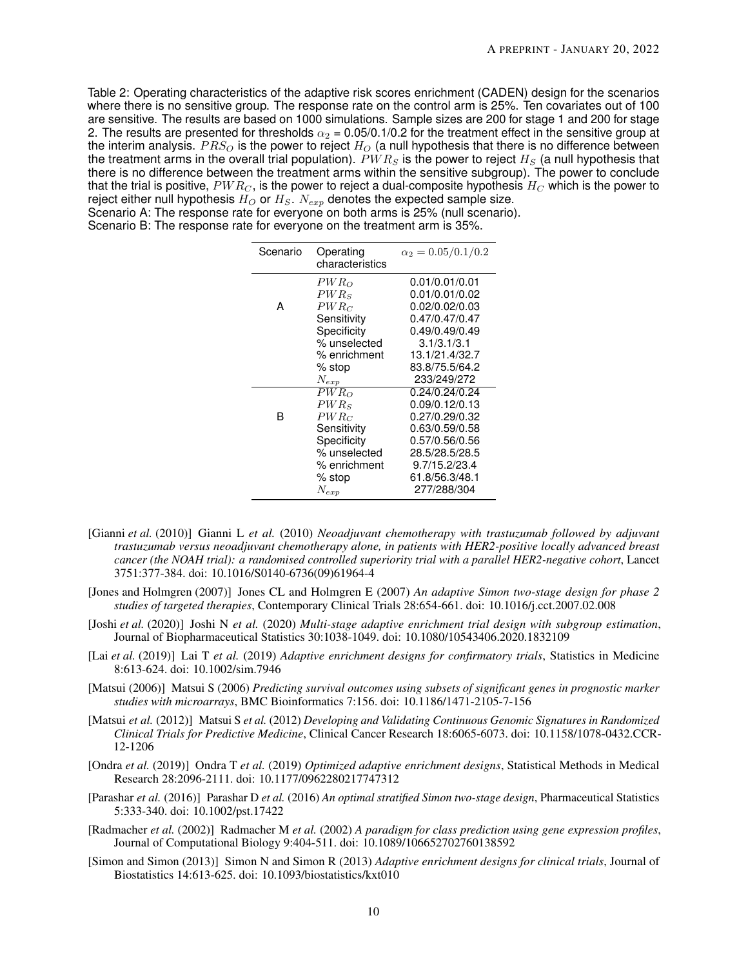<span id="page-9-7"></span>Table 2: Operating characteristics of the adaptive risk scores enrichment (CADEN) design for the scenarios where there is no sensitive group. The response rate on the control arm is 25%. Ten covariates out of 100 are sensitive. The results are based on 1000 simulations. Sample sizes are 200 for stage 1 and 200 for stage 2. The results are presented for thresholds  $\alpha_2 = 0.05/0.1/0.2$  for the treatment effect in the sensitive group at the interim analysis.  $PRS<sub>O</sub>$  is the power to reject  $H<sub>O</sub>$  (a null hypothesis that there is no difference between the treatment arms in the overall trial population).  $PWR<sub>S</sub>$  is the power to reject  $H<sub>S</sub>$  (a null hypothesis that there is no difference between the treatment arms within the sensitive subgroup). The power to conclude that the trial is positive,  $PWR<sub>C</sub>$ , is the power to reject a dual-composite hypothesis  $H<sub>C</sub>$  which is the power to reject either null hypothesis  $H_O$  or  $H_S$ .  $N_{exp}$  denotes the expected sample size. Scenario A: The response rate for everyone on both arms is 25% (null scenario).

Scenario B: The response rate for everyone on the treatment arm is 35%.

| Scenario | Operating<br>characteristics | $\alpha_2 = 0.05/0.1/0.2$ |
|----------|------------------------------|---------------------------|
|          | $PWR_O$                      | 0.01/0.01/0.01            |
|          | $PWR_{S}$                    | 0.01/0.01/0.02            |
| А        | $PWR_C$                      | 0.02/0.02/0.03            |
|          | Sensitivity                  | 0.47/0.47/0.47            |
|          | Specificity                  | 0.49/0.49/0.49            |
|          | % unselected                 | 3.1/3.1/3.1               |
|          | % enrichment                 | 13.1/21.4/32.7            |
|          | % stop                       | 83.8/75.5/64.2            |
|          | $N_{exp}$                    | 233/249/272               |
|          | $PWR_{O}$                    | 0.24/0.24/0.24            |
|          | $PWR_s$                      | 0.09/0.12/0.13            |
| R        | $PWR_C$                      | 0.27/0.29/0.32            |
|          | Sensitivity                  | 0.63/0.59/0.58            |
|          | Specificity                  | 0.57/0.56/0.56            |
|          | % unselected                 | 28.5/28.5/28.5            |
|          | % enrichment                 | 9.7/15.2/23.4             |
|          | % stop                       | 61.8/56.3/48.1            |
|          | $N_{exp}$                    | 277/288/304               |

- <span id="page-9-8"></span>[Gianni *et al.* (2010)] Gianni L *et al.* (2010) *Neoadjuvant chemotherapy with trastuzumab followed by adjuvant trastuzumab versus neoadjuvant chemotherapy alone, in patients with HER2-positive locally advanced breast cancer (the NOAH trial): a randomised controlled superiority trial with a parallel HER2-negative cohort*, Lancet 3751:377-384. doi: 10.1016/S0140-6736(09)61964-4
- <span id="page-9-0"></span>[Jones and Holmgren (2007)] Jones CL and Holmgren E (2007) *An adaptive Simon two-stage design for phase 2 studies of targeted therapies*, Contemporary Clinical Trials 28:654-661. doi: 10.1016/j.cct.2007.02.008
- <span id="page-9-3"></span>[Joshi *et al.* (2020)] Joshi N *et al.* (2020) *Multi-stage adaptive enrichment trial design with subgroup estimation*, Journal of Biopharmaceutical Statistics 30:1038-1049. doi: 10.1080/10543406.2020.1832109
- [Lai *et al.* (2019)] Lai T *et al.* (2019) *Adaptive enrichment designs for confirmatory trials*, Statistics in Medicine 8:613-624. doi: 10.1002/sim.7946
- <span id="page-9-4"></span>[Matsui (2006)] Matsui S (2006) *Predicting survival outcomes using subsets of significant genes in prognostic marker studies with microarrays*, BMC Bioinformatics 7:156. doi: 10.1186/1471-2105-7-156
- <span id="page-9-5"></span>[Matsui *et al.* (2012)] Matsui S *et al.* (2012) *Developing and Validating Continuous Genomic Signatures in Randomized Clinical Trials for Predictive Medicine*, Clinical Cancer Research 18:6065-6073. doi: 10.1158/1078-0432.CCR-12-1206
- [Ondra *et al.* (2019)] Ondra T *et al.* (2019) *Optimized adaptive enrichment designs*, Statistical Methods in Medical Research 28:2096-2111. doi: 10.1177/0962280217747312
- <span id="page-9-1"></span>[Parashar *et al.* (2016)] Parashar D *et al.* (2016) *An optimal stratified Simon two-stage design*, Pharmaceutical Statistics 5:333-340. doi: 10.1002/pst.17422
- <span id="page-9-6"></span>[Radmacher *et al.* (2002)] Radmacher M *et al.* (2002) *A paradigm for class prediction using gene expression profiles*, Journal of Computational Biology 9:404-511. doi: 10.1089/106652702760138592
- <span id="page-9-2"></span>[Simon and Simon (2013)] Simon N and Simon R (2013) *Adaptive enrichment designs for clinical trials*, Journal of Biostatistics 14:613-625. doi: 10.1093/biostatistics/kxt010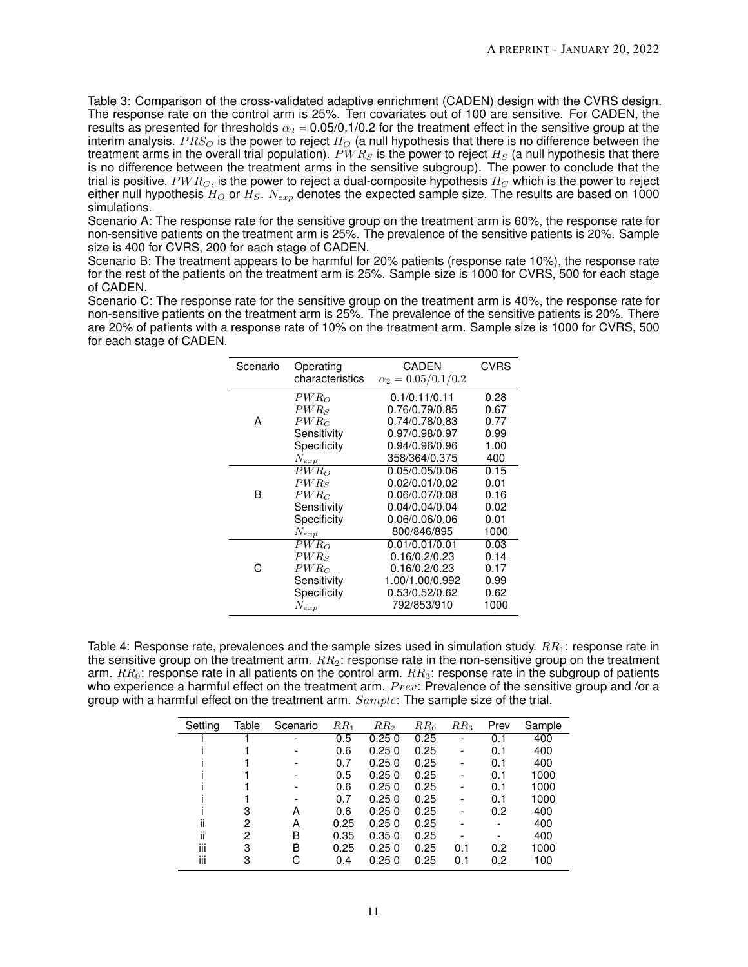<span id="page-10-1"></span>Table 3: Comparison of the cross-validated adaptive enrichment (CADEN) design with the CVRS design. The response rate on the control arm is 25%. Ten covariates out of 100 are sensitive. For CADEN, the results as presented for thresholds  $\alpha_2$  = 0.05/0.1/0.2 for the treatment effect in the sensitive group at the interim analysis.  $PRS<sub>O</sub>$  is the power to reject  $H<sub>O</sub>$  (a null hypothesis that there is no difference between the treatment arms in the overall trial population).  $PWR<sub>S</sub>$  is the power to reject  $H<sub>S</sub>$  (a null hypothesis that there is no difference between the treatment arms in the sensitive subgroup). The power to conclude that the trial is positive,  $PWR_C$ , is the power to reject a dual-composite hypothesis  $H_C$  which is the power to reject either null hypothesis  $H_O$  or  $H_S$ .  $N_{exp}$  denotes the expected sample size. The results are based on 1000 simulations.

Scenario A: The response rate for the sensitive group on the treatment arm is 60%, the response rate for non-sensitive patients on the treatment arm is 25%. The prevalence of the sensitive patients is 20%. Sample size is 400 for CVRS, 200 for each stage of CADEN.

Scenario B: The treatment appears to be harmful for 20% patients (response rate 10%), the response rate for the rest of the patients on the treatment arm is 25%. Sample size is 1000 for CVRS, 500 for each stage of CADEN.

Scenario C: The response rate for the sensitive group on the treatment arm is 40%, the response rate for non-sensitive patients on the treatment arm is 25%. The prevalence of the sensitive patients is 20%. There are 20% of patients with a response rate of 10% on the treatment arm. Sample size is 1000 for CVRS, 500 for each stage of CADEN.

| Scenario | Operating<br>characteristics | <b>CADEN</b><br>$\alpha_2 = 0.05/0.1/0.2$ | <b>CVRS</b> |
|----------|------------------------------|-------------------------------------------|-------------|
|          | $PWR_{O}$                    | 0.1/0.11/0.11                             | 0.28        |
|          | $PWR_S$                      | 0.76/0.79/0.85                            | 0.67        |
| А        | $PWR_C$                      | 0.74/0.78/0.83                            | 0.77        |
|          | Sensitivity                  | 0.97/0.98/0.97                            | 0.99        |
|          | Specificity                  | 0.94/0.96/0.96                            | 1.00        |
|          | $N_{exp}$                    | 358/364/0.375                             | 400         |
| R        | $PWR_O$                      | 0.05/0.05/0.06                            | 0.15        |
|          | $PWR_{S}$                    | 0.02/0.01/0.02                            | 0.01        |
|          | $PWR_C$                      | 0.06/0.07/0.08                            | 0.16        |
|          | Sensitivity                  | 0.04/0.04/0.04                            | 0.02        |
|          | Specificity                  | 0.06/0.06/0.06                            | 0.01        |
|          | $N_{exp}$                    | 800/846/895                               | 1000        |
|          | $PWR_{O}$                    | 0.01/0.01/0.01                            | 0.03        |
|          | $PWR_s$                      | 0.16/0.2/0.23                             | 0.14        |
|          | $PWR_C$                      | 0.16/0.2/0.23                             | 0.17        |
|          | Sensitivity                  | 1.00/1.00/0.992                           | 0.99        |
|          | Specificity                  | 0.53/0.52/0.62                            | 0.62        |
|          | $N_{exp}$                    | 792/853/910                               | 1000        |

<span id="page-10-0"></span>Table 4: Response rate, prevalences and the sample sizes used in simulation study.  $RR_1$ : response rate in the sensitive group on the treatment arm.  $RR_2$ : response rate in the non-sensitive group on the treatment arm.  $RR_0$ : response rate in all patients on the control arm.  $RR_3$ : response rate in the subgroup of patients who experience a harmful effect on the treatment arm.  $Prev$ : Prevalence of the sensitive group and /or a group with a harmful effect on the treatment arm.  $Sample$ : The sample size of the trial.

| Setting | Table | Scenario                 | RR <sub>1</sub> | RR <sub>2</sub> | $RR_0$ | RR <sub>3</sub> | Prev | Sample |
|---------|-------|--------------------------|-----------------|-----------------|--------|-----------------|------|--------|
|         |       | $\overline{\phantom{0}}$ | 0.5             | 0.250           | 0.25   |                 | 0.1  | 400    |
|         |       | $\overline{\phantom{0}}$ | 0.6             | 0.250           | 0.25   |                 | 0.1  | 400    |
|         |       |                          | 0.7             | 0.250           | 0.25   |                 | 0.1  | 400    |
|         |       |                          | 0.5             | 0.250           | 0.25   |                 | 0.1  | 1000   |
|         |       |                          | 0.6             | 0.250           | 0.25   |                 | 0.1  | 1000   |
|         |       |                          | 0.7             | 0.250           | 0.25   |                 | 0.1  | 1000   |
|         | з     | А                        | 0.6             | 0.250           | 0.25   |                 | 0.2  | 400    |
| ii      | 2     | А                        | 0.25            | 0.250           | 0.25   |                 |      | 400    |
| ii      | 2     | B                        | 0.35            | 0.350           | 0.25   |                 |      | 400    |
| iii     | 3     | B                        | 0.25            | 0.250           | 0.25   | 0.1             | 0.2  | 1000   |
| iii     | 3     | С                        | 0.4             | 0.250           | 0.25   | 0.1             | 0.2  | 100    |